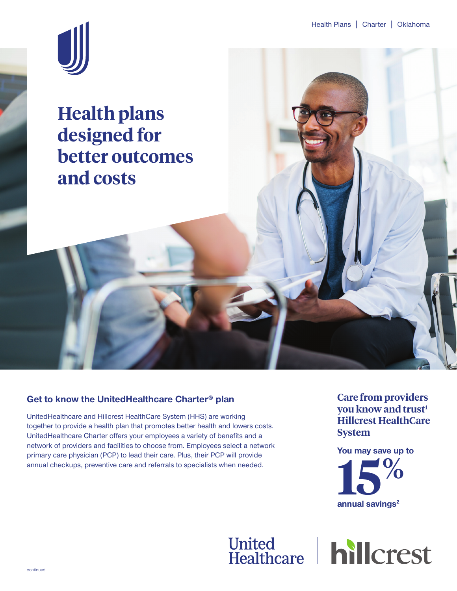

**Health plans designed for better outcomes and costs**

### **Get to know the UnitedHealthcare Charter® plan**

UnitedHealthcare and Hillcrest HealthCare System (HHS) are working together to provide a health plan that promotes better health and lowers costs. UnitedHealthcare Charter offers your employees a variety of benefits and a network of providers and facilities to choose from. Employees select a network primary care physician (PCP) to lead their care. Plus, their PCP will provide annual checkups, preventive care and referrals to specialists when needed.

**Care from providers you know and trust<sup>1</sup> Hillcrest HealthCare System**